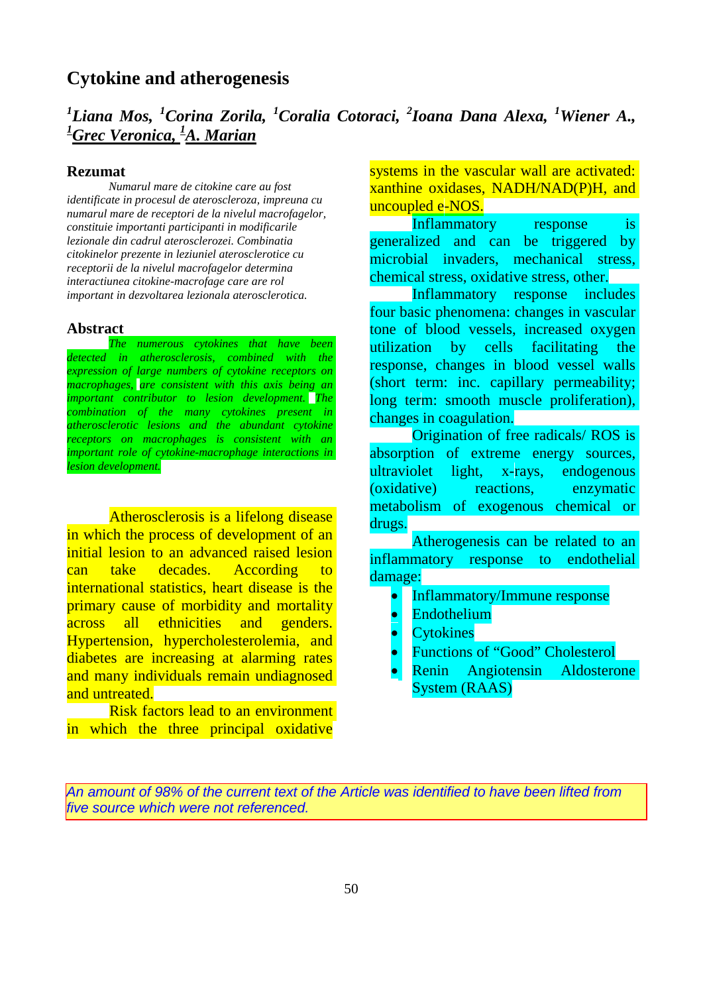## **Cytokine and atherogenesis**

# <sup>1</sup>Liana Mos, <sup>1</sup>Corina Zorila, <sup>1</sup>Coralia Cotoraci, <sup>2</sup>Ioana Dana Alexa, <sup>1</sup>Wiener A., *1 Grec Veronica, 1 A. Marian*

### **Rezumat**

*Numarul mare de citokine care au fost identificate in procesul de ateroscleroza, impreuna cu numarul mare de receptori de la nivelul macrofagelor, constituie importanti participanti in modificarile lezionale din cadrul aterosclerozei. Combinatia citokinelor prezente in leziuniel aterosclerotice cu receptorii de la nivelul macrofagelor determina interactiunea citokine-macrofage care are rol important in dezvoltarea lezionala aterosclerotica.* 

### **Abstract**

*The numerous cytokines that have been detected in atherosclerosis, combined with the expression of large numbers of cytokine receptors on macrophages, are consistent with this axis being an important contributor to lesion development. The combination of the many cytokines present in atherosclerotic lesions and the abundant cytokine receptors on macrophages is consistent with an important role of cytokine-macrophage interactions in lesion development.*

Atherosclerosis is a lifelong disease in which the process of development of an initial lesion to an advanced raised lesion can take decades. According to international statistics, heart disease is the primary cause of morbidity and mortality across all ethnicities and genders. Hypertension, hypercholesterolemia, and diabetes are increasing at alarming rates and many individuals remain undiagnosed and untreated.

Risk factors lead to an environment in which the three principal oxidative

systems in the vascular wall are activated: xanthine oxidases, NADH/NAD(P)H, and uncoupled e-NOS.

Inflammatory response is generalized and can be triggered by microbial invaders, mechanical stress, chemical stress, oxidative stress, other.

Inflammatory response includes four basic phenomena: changes in vascular tone of blood vessels, increased oxygen utilization by cells facilitating the response, changes in blood vessel walls (short term: inc. capillary permeability; long term: smooth muscle proliferation), changes in coagulation.

Origination of free radicals/ ROS is absorption of extreme energy sources, ultraviolet light, x-rays, endogenous (oxidative) reactions, enzymatic metabolism of exogenous chemical or drugs.

Atherogenesis can be related to an inflammatory response to endothelial damage:

- Inflammatory/Immune response
- **Endothelium**
- **Cytokines**
- Functions of "Good" Cholesterol
- Renin Angiotensin Aldosterone System (RAAS)

An amount of 98% of the current text of the Article was identified to have been lifted from five source which were not referenced.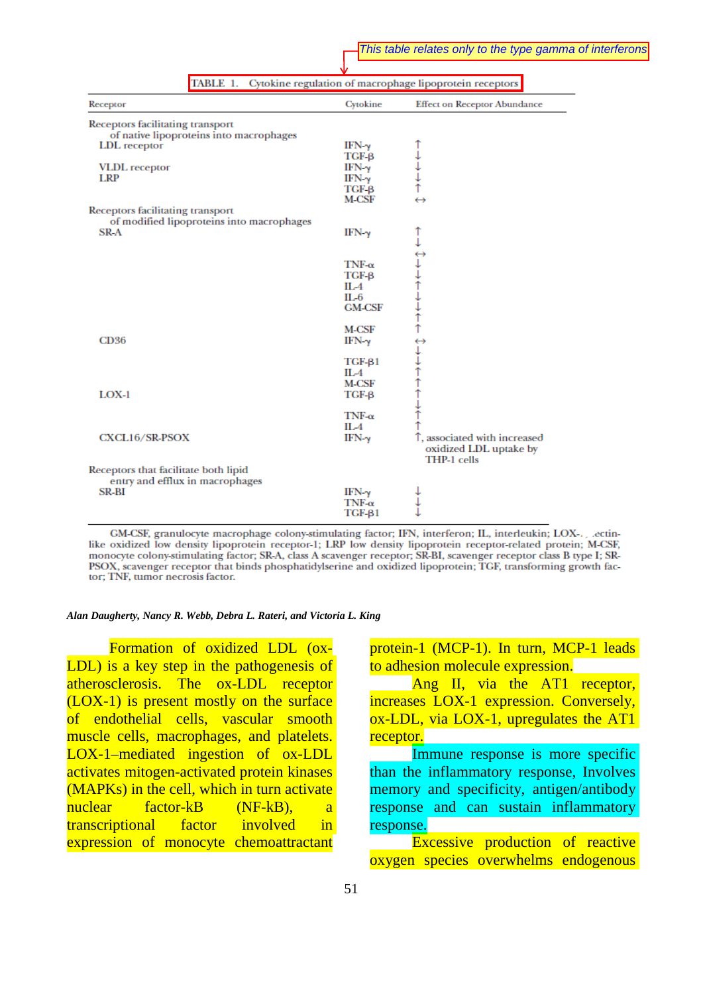| Receptor                                  | Cytokine      | <b>Effect on Receptor Abundance</b> |
|-------------------------------------------|---------------|-------------------------------------|
| Receptors facilitating transport          |               |                                     |
| of native lipoproteins into macrophages   |               |                                     |
| LDL receptor                              | $IFN-\gamma$  |                                     |
|                                           | $TGF-B$       |                                     |
| <b>VLDL</b> receptor                      | $IFN-\gamma$  |                                     |
| LRP                                       | $IFN-\gamma$  |                                     |
|                                           | $TGF-B$       | ↑→→→↑                               |
|                                           | M-CSF         | $\leftrightarrow$                   |
| Receptors facilitating transport          |               |                                     |
| of modified lipoproteins into macrophages |               |                                     |
| <b>SR-A</b>                               | $IFN-\gamma$  |                                     |
|                                           |               |                                     |
|                                           |               |                                     |
|                                           | $TNF-\alpha$  |                                     |
|                                           | $TGF-B$       |                                     |
|                                           | $II - 4$      |                                     |
|                                           | IL-6          |                                     |
|                                           | <b>GM-CSF</b> | ↔→→↑→→↑↑ ↔→→↑↑↑→↑↑                  |
|                                           |               |                                     |
|                                           | M-CSF         |                                     |
| <b>CD36</b>                               | $IFN-\gamma$  |                                     |
|                                           |               |                                     |
|                                           | $TGF-\beta1$  |                                     |
|                                           | II.-4         |                                     |
|                                           | <b>M-CSF</b>  |                                     |
| $LOX-1$                                   | $TGF-B$       |                                     |
|                                           |               |                                     |
|                                           | $TNF-\alpha$  |                                     |
|                                           | $IL-4$        |                                     |
| CXCL16/SR-PSOX                            | $IFN-\gamma$  | 1, associated with increased        |
|                                           |               | oxidized LDL uptake by              |
|                                           |               | THP-1 cells                         |
| Receptors that facilitate both lipid      |               |                                     |
| entry and efflux in macrophages           |               |                                     |
| <b>SR-BI</b>                              | $IFN-\gamma$  |                                     |
|                                           | $TNF-\alpha$  |                                     |
|                                           | $TGF-\beta1$  |                                     |

TABLE 1. Cytokine regulation of macrophage lipoprotein receptors

GM-CSF, granulocyte macrophage colony-stimulating factor; IFN, interferon; IL, interleukin; LOX-1, actinlike oxidized low density lipoprotein receptor-1; LRP low density lipoprotein receptor-related protein; M-CSF, monocyte colony stimulating factor; SR A, class A scavenger receptor; SR BI, scavenger receptor class B type I; SR-PSOX, scavenger receptor that binds phosphatidylserine and oxidized lipoprotein; TGF, transforming growth factor; TNF, tumor necrosis factor.

#### *Alan Daugherty, Nancy R. Webb, Debra L. Rateri, and Victoria L. King*

Formation of oxidized LDL (ox-LDL) is a key step in the pathogenesis of atherosclerosis. The ox-LDL receptor (LOX-1) is present mostly on the surface of endothelial cells, vascular smooth muscle cells, macrophages, and platelets. LOX-1–mediated ingestion of ox-LDL activates mitogen-activated protein kinases (MAPKs) in the cell, which in turn activate nuclear factor-kB (NF-kB), a transcriptional factor involved in expression of monocyte chemoattractant

protein-1 (MCP-1). In turn, MCP-1 leads to adhesion molecule expression.

Ang II, via the AT1 receptor, increases LOX-1 expression. Conversely, ox-LDL, via LOX-1, upregulates the AT1 receptor.

Immune response is more specific than the inflammatory response, Involves memory and specificity, antigen/antibody response and can sustain inflammatory response.

Excessive production of reactive oxygen species overwhelms endogenous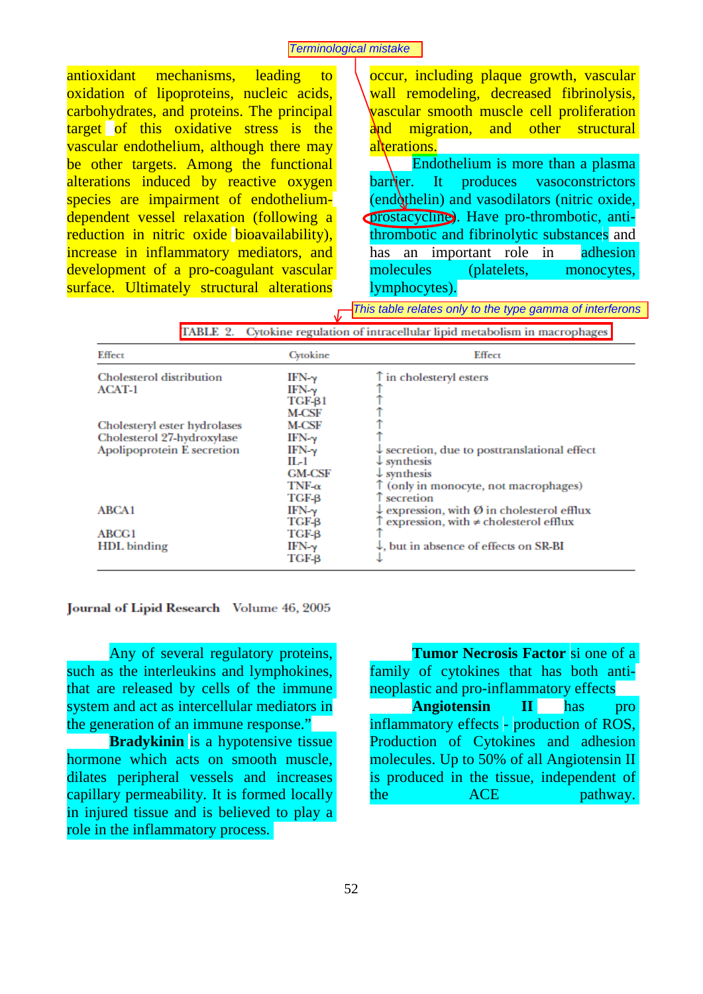antioxidant mechanisms, leading to oxidation of lipoproteins, nucleic acids, carbohydrates, and proteins. The principal target of this oxidative stress is the vascular endothelium, although there may be other targets. Among the functional alterations induced by reactive oxygen species are impairment of endotheliumdependent vessel relaxation (following a reduction in nitric oxide bioavailability), increase in inflammatory mediators, and development of a pro-coagulant vascular surface. Ultimately structural alterations

occur, including plaque growth, vascular wall remodeling, decreased fibrinolysis, vascular smooth muscle cell proliferation and migration, and other structural alterations.

Endothelium is more than a plasma barrier. It produces vasoconstrictors (endothelin) and vasodilators (nitric oxide, prostacycline). Have pro-thrombotic, antithrombotic and fibrinolytic substances and has an important role in adhesion molecules (platelets, monocytes, lymphocytes). Terminological mistake and<br>
notation of the type growth, vascular<br>
acids, wall remodeling, decreased fibrinolysis,<br>
incipal<br>
is the and migration, and other structural<br>
relations.<br>
Endothelium is more than a plasma<br>
oxygen

| TABLE 2. Cytokine regulation of intracellular lipid metabolism in macrophages            |                                                                                            |                                                                                                                                                                     |  |
|------------------------------------------------------------------------------------------|--------------------------------------------------------------------------------------------|---------------------------------------------------------------------------------------------------------------------------------------------------------------------|--|
| Effect                                                                                   | Cytokine                                                                                   | Effect                                                                                                                                                              |  |
| Cholesterol distribution<br>ACAT-1                                                       | $IFN-\gamma$<br>$IFN-\nu$<br>$TGF-61$<br>M-CSF                                             | T in cholesteryl esters                                                                                                                                             |  |
| Cholesteryl ester hydrolases<br>Cholesterol 27-hydroxylase<br>Apolipoprotein E secretion | M-CSF<br>$IFN-\gamma$<br>$IFN-\gamma$<br>II.-1<br><b>GM-CSF</b><br>$TNF-\alpha$<br>$TGF-B$ | $\downarrow$ secretion, due to posttranslational effect<br>$\downarrow$ synthesis<br>$\downarrow$ synthesis<br>T (only in monocyte, not macrophages)<br>T secretion |  |
| ABCA1                                                                                    | $IFN-\gamma$<br>ТСЕ-В                                                                      | $\downarrow$ expression, with $\emptyset$ in cholesterol efflux<br>$\uparrow$ expression, with $\neq$ cholesterol efflux                                            |  |
| ABCG1<br><b>HDL</b> binding                                                              | $TGF-B$<br>$IFN-\gamma$<br>TGF-B                                                           | $\downarrow$ , but in absence of effects on SR-BI                                                                                                                   |  |

Journal of Lipid Research Volume 46, 2005

Any of several regulatory proteins, such as the interleukins and lymphokines, that are released by cells of the immune system and act as intercellular mediators in the generation of an immune response."

**Bradykinin** is a hypotensive tissue hormone which acts on smooth muscle, dilates peripheral vessels and increases capillary permeability. It is formed locally in injured tissue and is believed to play a role in the inflammatory process.

**Tumor Necrosis Factor** si one of a family of cytokines that has both antineoplastic and pro-inflammatory effects **Angiotensin II** has pro inflammatory effects - production of ROS, Production of Cytokines and adhesion molecules. Up to 50% of all Angiotensin II is produced in the tissue, independent of the ACE pathway.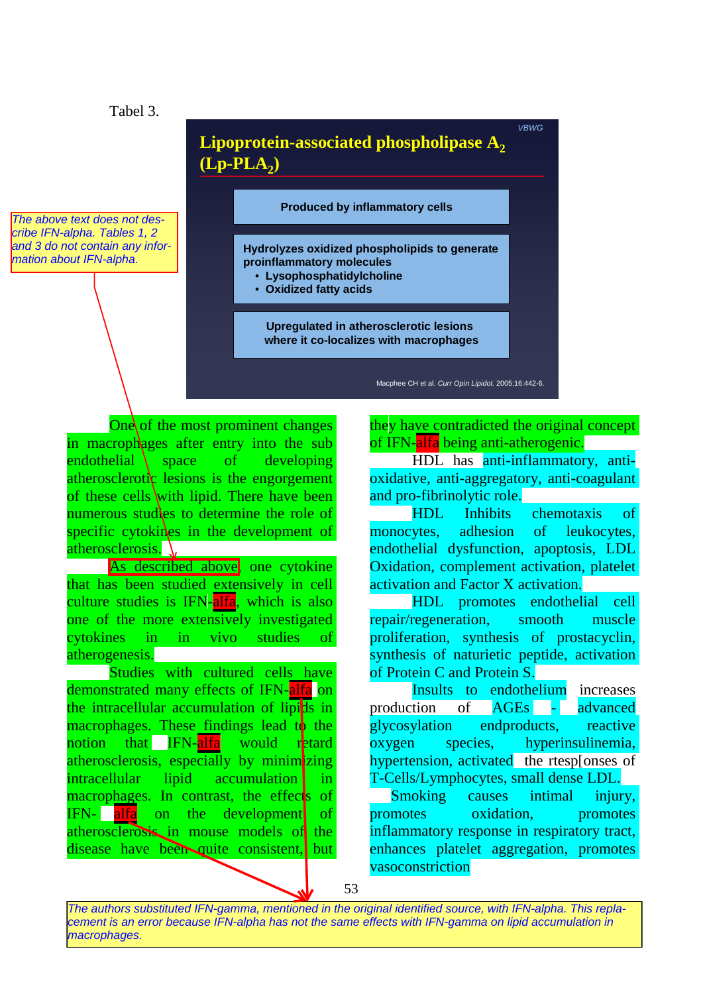## Tabel 3.

The above text does not describe IFN-alpha. Tables 1, 2 and 3 do not contain any information about IFN-alpha.

# *VBWG* Lipoprotein-associated phospholipase A<sub>2</sub>  $(Lp-PLA<sub>2</sub>)$

#### **Produced by inflammatory cells**

**Hydrolyzes oxidized phospholipids to generate proinflammatory molecules** 

• **Lysophosphatidylcholine**  • **Oxidized fatty acids**

**Upregulated in atherosclerotic lesions** 

**where it co-localizes with macrophages**

One of the most prominent changes in macrophages after entry into the sub endothelial space of developing atherosclerotic lesions is the engorgement of these cells with lipid. There have been numerous studies to determine the role of specific cytokines in the development of atherosclerosis.

As described above, one cytokine that has been studied extensively in cell culture studies is IFN-alfa, which is also one of the more extensively investigated cytokines in in vivo studies of atherogenesis.

Studies with cultured cells have demonstrated many effects of IFN-alfa on the intracellular accumulation of lipids in macrophages. These findings lead to the notion that IFN-alfa would retard atherosclerosis, especially by minimizing intracellular lipid accumulation in macrophages. In contrast, the effects of IFN- alfa on the development of atherosclerosis in mouse models of the disease have been quite consistent, but they have contradicted the original concept of IFN-alfa being anti-atherogenic.

Macphee CH et al. *Curr Opin Lipidol.* 2005;16:442-6.

HDL has anti-inflammatory, antioxidative, anti-aggregatory, anti-coagulant and pro-fibrinolytic role.

HDL Inhibits chemotaxis of monocytes, adhesion of leukocytes, endothelial dysfunction, apoptosis, LDL Oxidation, complement activation, platelet activation and Factor X activation.

HDL promotes endothelial cell repair/regeneration, smooth muscle proliferation, synthesis of prostacyclin, synthesis of naturietic peptide, activation of Protein C and Protein S.

Insults to endothelium increases production of AGEs - advanced glycosylation endproducts, reactive oxygen species, hyperinsulinemia, hypertension, activated the rtesplonses of T-Cells/Lymphocytes, small dense LDL.

Smoking causes intimal injury, promotes oxidation, promotes inflammatory response in respiratory tract, enhances platelet aggregation, promotes vasoconstriction

53

The authors substituted IFN-gamma, mentioned in the original identified source, with IFN-alpha. This replacement is an error because IFN-alpha has not the same effects with IFN-gamma on lipid accumulation in macrophages.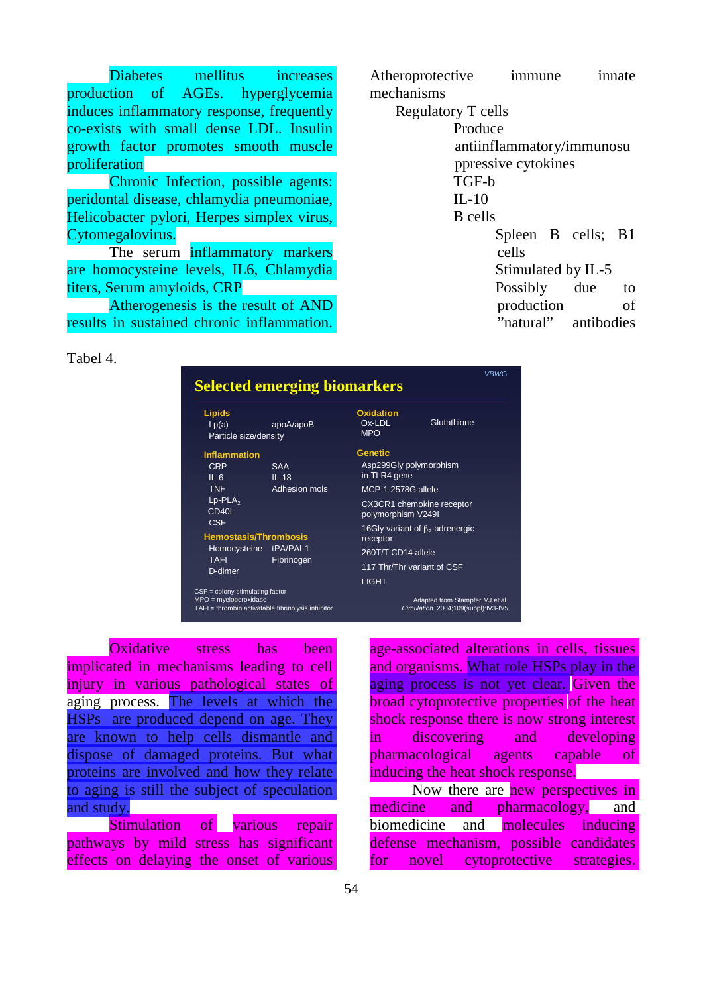Diabetes mellitus increases production of AGEs. hyperglycemia induces inflammatory response, frequently co-exists with small dense LDL. Insulin growth factor promotes smooth muscle proliferation

Chronic Infection, possible agents: peridontal disease, chlamydia pneumoniae, Helicobacter pylori, Herpes simplex virus, Cytomegalovirus.

The serum inflammatory markers are homocysteine levels, IL6, Chlamydia titers, Serum amyloids, CRP

Atherogenesis is the result of AND results in sustained chronic inflammation.

Atheroprotective immune innate mechanisms Regulatory T cells Produce antiinflammatory/immunosu ppressive cytokines TGF-b IL-10 B cells Spleen B cells; B1 cells Stimulated by IL-5 Possibly due to production of "natural" antibodies

Tabel 4.

|                                                                                                                         | <b>Selected emerging biomarkers</b>                          |                                                          | <b>VBWG</b>                                                              |  |  |
|-------------------------------------------------------------------------------------------------------------------------|--------------------------------------------------------------|----------------------------------------------------------|--------------------------------------------------------------------------|--|--|
| <b>Lipids</b><br>Lp(a)<br>Particle size/density                                                                         | apoA/apoB                                                    | <b>Oxidation</b><br>Ox-LDL<br><b>MPO</b>                 | Glutathione                                                              |  |  |
| <b>Inflammation</b><br><b>CRP</b><br>$II - 6$                                                                           | <b>SAA</b>                                                   | <b>Genetic</b><br>Asp299Gly polymorphism<br>in TLR4 gene |                                                                          |  |  |
| $IL-18$<br><b>TNF</b><br>Adhesion mols<br>$Lp$ -PLA <sub>2</sub><br>CD40L<br><b>CSF</b><br><b>Hemostasis/Thrombosis</b> | <b>MCP-1 2578G allele</b><br>CX3CR1 chemokine receptor       |                                                          |                                                                          |  |  |
|                                                                                                                         | polymorphism V249I<br>16Gly variant of $\beta_2$ -adrenergic |                                                          |                                                                          |  |  |
|                                                                                                                         | receptor                                                     |                                                          |                                                                          |  |  |
| Homocysteine<br><b>TAFI</b>                                                                                             | tPA/PAI-1<br>Fibrinogen                                      |                                                          | 260T/T CD14 allele                                                       |  |  |
| D-dimer                                                                                                                 |                                                              |                                                          | 117 Thr/Thr variant of CSF<br><b>LIGHT</b>                               |  |  |
| $CSF =$ colony-stimulating factor<br>$MPO = myeloperoxidase$                                                            | TAFI = thrombin activatable fibrinolysis inhibitor           |                                                          | Adapted from Stampfer MJ et al.<br>Circulation. 2004;109(suppl):IV3-IV5. |  |  |

Oxidative stress has been implicated in mechanisms leading to cell injury in various pathological states of aging process. The levels at which the HSPs are produced depend on age. They are known to help cells dismantle and dispose of damaged proteins. But what proteins are involved and how they relate to aging is still the subject of speculation and study.

**Stimulation of various repair** pathways by mild stress has significant effects on delaying the onset of various

age-associated alterations in cells, tissues and organisms. What role HSPs play in the aging process is not yet clear. Given the broad cytoprotective properties of the heat shock response there is now strong interest in discovering and developing pharmacological agents capable of inducing the heat shock response.

Now there are new perspectives in medicine and pharmacology, and biomedicine and molecules inducing defense mechanism, possible candidates for novel cytoprotective strategies.